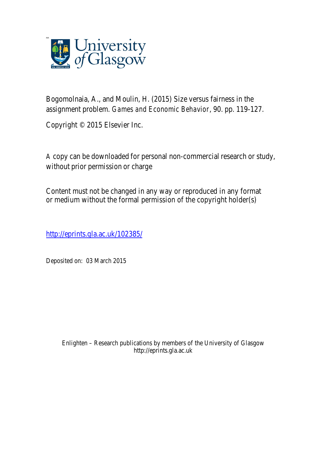

Bogomolnaia, A., and Moulin, H. (2015) Size versus fairness in the assignment problem. *Games and Economic Behavior*, 90. pp. 119-127.

Copyright © 2015 Elsevier Inc.

A copy can be downloaded for personal non-commercial research or study, without prior permission or charge

Content must not be changed in any way or reproduced in any format or medium without the formal permission of the copyright holder(s)

http://eprints.gla.ac.uk/102385/

Deposited on: 03 March 2015

Enlighten – Research publications by members of the University of Glasgow http://eprints.gla.ac.uk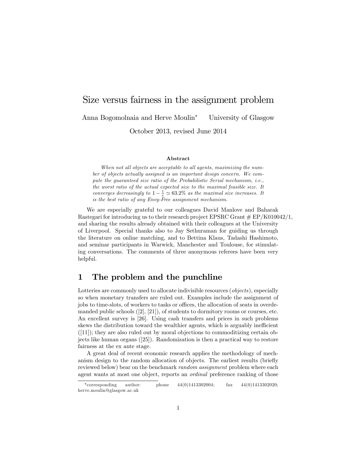# Size versus fairness in the assignment problem Anna Bogomolnaia and Herve Moulin<sup>\*</sup> University of Glasgow

October 2013, revised June 2014

#### Abstract

When not all objects are acceptable to all agents, maximizing the number of objects actually assigned is an important design concern. We compute the guaranteed size ratio of the Probabilistic Serial mechanism, i.e., the worst ratio of the actual expected size to the maximal feasible size. It converges decreasingly to  $1 - \frac{1}{e} \simeq 63.2\%$  as the maximal size increases. It is the best ratio of any Envy-Free assignment mechanism.

We are especially grateful to our colleagues David Manlove and Baharak Rastegari for introducing us to their research project EPSRC Grant  $\#$  EP/K010042/1, and sharing the results already obtained with their colleagues at the University of Liverpool. Special thanks also to Jay Sethuraman for guiding us through the literature on online matching, and to Bettina Klaus, Tadashi Hashimoto, and seminar participants in Warwick, Manchester and Toulouse, for stimulating conversations. The comments of three anonymous referees have been very helpful.

### 1 The problem and the punchline

Lotteries are commonly used to allocate indivisible resources (*objects*), especially so when monetary transfers are ruled out. Examples include the assignment of jobs to time-slots, of workers to tasks or offices, the allocation of seats in overdemanded public schools ([2], [21]), of students to dormitory rooms or courses, etc. An excellent survey is [26]. Using cash transfers and prices in such problems skews the distribution toward the wealthier agents, which is arguably inefficient  $([11])$ ; they are also ruled out by moral objections to commoditizing certain objects like human organs ([25]). Randomization is then a practical way to restore fairness at the ex ante stage.

A great deal of recent economic research applies the methodology of mechanism design to the random allocation of objects. The earliest results (briefly reviewed below) bear on the benchmark *random assignment* problem where each agent wants at most one object, reports an ordinal preference ranking of those

<sup>\*</sup>corresponding author: phone  $44(0)1413302004$ ; fax  $44(0)1413302020$ ; herve.moulin@glasgow.ac.uk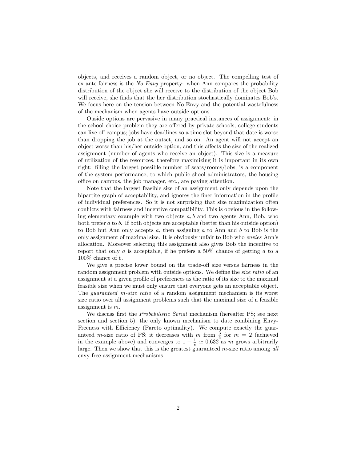objects, and receives a random object, or no object. The compelling test of ex ante fairness is the No Envy property: when Ann compares the probability distribution of the object she will receive to the distribution of the object Bob will receive, she finds that the her distribution stochastically dominates Bob's. We focus here on the tension between No Envy and the potential wastefulness of the mechanism when agents have outside options.

Ouside options are pervasive in many practical instances of assignment: in the school choice problem they are offered by private schools; college students can live off campus; jobs have deadlines so a time slot beyond that date is worse than dropping the job at the outset, and so on. An agent will not accept an object worse than his/her outside option, and this affects the size of the realized assignment (number of agents who receive an object). This size is a measure of utilization of the resources, therefore maximizing it is important in its own right: Ölling the largest possible number of seats/rooms/jobs, is a component of the system performance, to which public shool administrators, the housing office on campus, the job manager, etc., are paying attention.

Note that the largest feasible size of an assignment only depends upon the bipartite graph of acceptability, and ignores the finer information in the profile of individual preferences. So it is not surprising that size maximization often conflicts with fairness and incentive compatibility. This is obvious in the following elementary example with two objects  $a, b$  and two agents Ann, Bob, who both prefer a to b. If both objects are acceptable (better than his outside option) to Bob but Ann only accepts  $a$ , then assigning  $a$  to Ann and  $b$  to Bob is the only assignment of maximal size. It is obviously unfair to Bob who envies Annís allocation. Moreover selecting this assignment also gives Bob the incentive to report that only a is acceptable, if he prefers a  $50\%$  chance of getting a to a  $100\%$  chance of b.

We give a precise lower bound on the trade-off size versus fairness in the random assignment problem with outside options. We define the *size ratio* of an assignment at a given profile of preferences as the ratio of its size to the maximal feasible size when we must only ensure that everyone gets an acceptable object. The guaranteed m-size ratio of a random assignment mechanism is its worst size ratio over all assignment problems such that the maximal size of a feasible assignment is m.

We discuss first the *Probabilistic Serial* mechanism (hereafter PS; see next section and section 5), the only known mechanism to date combining Envy-Freeness with Efficiency (Pareto optimality). We compute exactly the guaranteed *m*-size ratio of PS: it decreases with *m* from  $\frac{3}{4}$  for  $m = 2$  (achieved in the example above) and converges to  $1 - \frac{1}{e} \simeq 0.632$  as m grows arbitrarily large. Then we show that this is the greatest guaranteed m-size ratio among all envy-free assignment mechanisms.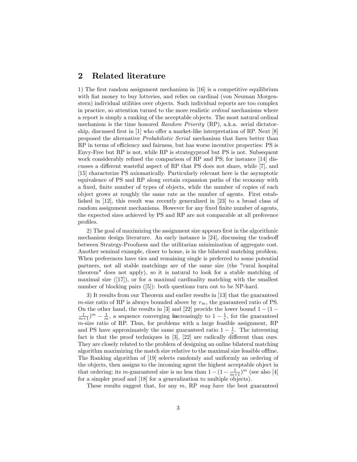# 2 Related literature

1) The first random assignment mechanism in [16] is a competitive equilibrium with fiat money to buy lotteries, and relies on cardinal (von Neuman Morgenstern) individual utilities over objects. Such individual reports are too complex in practice, so attention turned to the more realistic ordinal mechanisms where a report is simply a ranking of the acceptable objects. The most natural ordinal mechanism is the time honored Random Priority (RP), a.k.a. serial dictatorship, discussed first in  $[1]$  who offer a market-like interpretation of RP. Next  $[8]$ proposed the alternative Probabilistic Serial mechanism that fares better than RP in terms of efficiency and fairness, but has worse incentive properties: PS is Envy-Free but RP is not, while RP is strategyproof but PS is not. Subsequent work considerably refined the comparison of RP and PS; for instance [14] discusses a different wasteful aspect of RP that PS does not share, while  $[7]$ , and [15] characterize PS axiomatically. Particularly relevant here is the asymptotic equivalence of PS and RP along certain expansion paths of the economy with a fixed, finite number of types of objects, while the number of copies of each object grows at roughly the same rate as the number of agents. First established in [12], this result was recently generalized in [23] to a broad class of random assignment mechanisms. However for any fixed finite number of agents, the expected sizes achieved by PS and RP are not comparable at all preference profiles.

2) The goal of maximizing the assignment size appears first in the algorithmic mechanism design literature. An early instance is  $[24]$ , discussing the tradeoff between Strategy-Proofness and the utilitarian minimization of aggregate cost. Another seminal example, closer to home, is in the bilateral matching problem. When preferences have ties and remaining single is preferred to some potential partners, not all stable matchings are of the same size (the "rural hospital theorem" does not apply), so it is natural to look for a stable matching of maximal size  $([17])$ , or for a maximal cardinality matching with the smallest number of blocking pairs ([5]): both questions turn out to be NP-hard.

3) It results from our Theorem and earlier results in [13] that the guaranteed m-size ratio of RP is always bounded above by  $r_m$ , the guaranteed ratio of PS. On the other hand, the results in [3] and [22] provide the lower bound  $1 - (1 (\frac{1}{m+1})^m - \frac{1}{m}$ , a sequence converging increasingly to  $1 - \frac{1}{e}$ , for the guaranteed m-size ratio of RP. Thus, for problems with a large feasible assignment, RP and PS have approximately the same guaranteed ratio  $1 - \frac{1}{e}$ . The interesting fact is that the proof techniques in  $[3]$ ,  $[22]$  are radically different than ours. They are closely related to the problem of designing an online bilateral matching algorithm maximizing the match size relative to the maximal size feasible offline. The Ranking algorithm of [19] selects randomly and uniformly an ordering of the objects, then assigns to the incoming agent the highest acceptable object in that ordering; its *m*-guaranteed size is no less than  $1 - (1 - \frac{1}{m+1})^m$  (see also [4] for a simpler proof and [18] for a generalization to multiple objects).

These results suggest that, for any  $m$ , RP may have the best guaranteed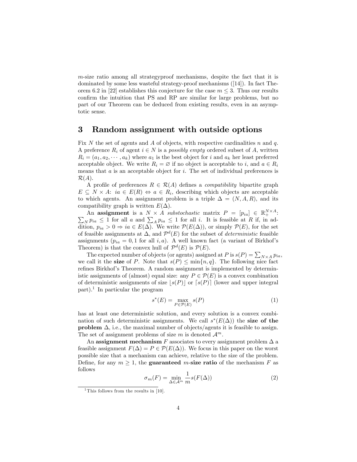m-size ratio among all strategyproof mechanisms, despite the fact that it is dominated by some less wasteful strategy-proof mechanisms ([14]). In fact Theorem 6.2 in [22] establishes this conjecture for the case  $m \leq 3$ . Thus our results confirm the intuition that PS and RP are similar for large problems, but no part of our Theorem can be deduced from existing results, even in an asymptotic sense.

### 3 Random assignment with outside options

Fix N the set of agents and A of objects, with respective cardinalities n and q. A preference  $R_i$  of agent  $i \in N$  is a *possibly empty* ordered subset of A, written  $R_i = (a_1, a_2, \dots, a_k)$  where  $a_1$  is the best object for i and  $a_k$  her least preferred acceptable object. We write  $R_i = \emptyset$  if no object is acceptable to i, and  $a \in R_i$ means that  $a$  is an acceptable object for  $i$ . The set of individual preferences is  $\mathcal{R}(A)$ .

A profile of preferences  $R \in \mathcal{R}(A)$  defines a *compatibility* bipartite graph  $E \subseteq N \times A$ :  $ia \in E(R) \Leftrightarrow a \in R_i$ , describing which objects are acceptable to which agents. An assignment problem is a triple  $\Delta = (N, A, R)$ , and its compatibility graph is written  $E(\Delta)$ .

An assignment is a  $N \times A$  substochastic matrix  $P = [p_{ia}] \in \mathbb{R}^{N \times A}_{+}$ :  $\sum_{N} p_{ia} \leq 1$  for all a and  $\sum_{A} p_{ia} \leq 1$  for all i. It is feasible at R if, in addition,  $p_{ia} > 0 \Rightarrow ia \in E(\Delta)$ . We write  $\mathcal{P}(E(\Delta))$ , or simply  $\mathcal{P}(E)$ , for the set of feasible assignments at  $\Delta$ , and  $\mathcal{P}^d(E)$  for the subset of *deterministic* feasible assignments ( $p_{ia} = 0, 1$  for all i, a). A well known fact (a variant of Birkhof's Theorem) is that the convex hull of  $\mathcal{P}^d(E)$  is  $\mathcal{P}(E)$ .

The expected number of objects (or agents) assigned at P is  $s(P) = \sum_{N \times A} p_{ia}$ , we call it the **size** of P. Note that  $s(P) \le \min\{n, q\}$ . The following nice fact refines Birkhof's Theorem. A random assignment is implemented by deterministic assignments of (almost) equal size: any  $P \in \mathcal{P}(E)$  is a convex combination of deterministic assignments of size  $|s(P)|$  or  $[s(P)]$  (lower and upper integral part).<sup>1</sup> In particular the program

$$
s^*(E) = \max_{P \in \mathcal{P}(E)} s(P) \tag{1}
$$

has at least one deterministic solution, and every solution is a convex combination of such deterministic assignments. We call  $s^*(E(\Delta))$  the size of the **problem**  $\Delta$ , i.e., the maximal number of objects/agents it is feasible to assign. The set of assignment problems of size m is denoted  $\mathcal{A}^m$ .

An assignment mechanism F associates to every assignment problem  $\Delta$  a feasible assignment  $F(\Delta) = P \in \mathcal{P}(E(\Delta))$ . We focus in this paper on the worst possible size that a mechanism can achieve, relative to the size of the problem. Define, for any  $m \geq 1$ , the **guaranteed** m-size ratio of the mechanism F as follows

$$
\sigma_m(F) = \min_{\Delta \in \mathcal{A}^m} \frac{1}{m} s(F(\Delta)) \tag{2}
$$

<sup>&</sup>lt;sup>1</sup>This follows from the results in [10].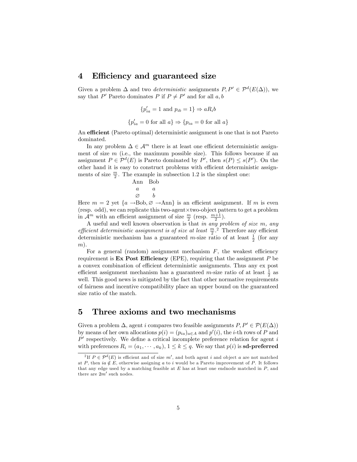### 4 Efficiency and guaranteed size

Given a problem  $\Delta$  and two *deterministic* assignments  $P, P' \in \mathcal{P}^d(E(\Delta))$ , we say that P' Pareto dominates P if  $P \neq P'$  and for all  $a, b$ 

$$
\{p'_{ia} = 1 \text{ and } p_{ib} = 1\} \Rightarrow aR_i b
$$
  

$$
\{p'_{ia} = 0 \text{ for all } a\} \Rightarrow \{p_{ia} = 0 \text{ for all } a\}
$$

An efficient (Pareto optimal) deterministic assignment is one that is not Pareto dominated.

In any problem  $\Delta \in \mathcal{A}^m$  there is at least one efficient deterministic assignment of size  $m$  (i.e., the maximum possible size). This follows because if an assignment  $P \in \mathcal{P}^d(E)$  is Pareto dominated by  $P'$ , then  $s(P) \leq s(P')$ . On the other hand it is easy to construct problems with efficient deterministic assignments of size  $\frac{m}{2}$ . The example in subsection 1.2 is the simplest one:

$$
\begin{array}{ccc}\n\text{Ann} & \text{Bob} \\
a & a \\
\varnothing & b\n\end{array}
$$

Here  $m = 2$  yet  $\{a \rightarrow Bob, \varnothing \rightarrow Ann\}$  is an efficient assignment. If m is even (resp. odd), we can replicate this two-agent $\times$ two-object pattern to get a problem in  $\mathcal{A}^m$  with an efficient assignment of size  $\frac{m}{2}$  (resp.  $\frac{m+1}{2}$ ).

A useful and well known observation is that in any problem of size m, any efficient deterministic assignment is of size at least  $\frac{m}{2}$ .<sup>2</sup> Therefore any efficient deterministic mechanism has a guaranteed *m*-size ratio of at least  $\frac{1}{2}$  (for any  $m$ ).

For a general (random) assignment mechanism  $F$ , the weakest efficiency requirement is **Ex Post Efficiency** (EPE), requiring that the assignment  $P$  be a convex combination of efficient deterministic assignments. Thus any ex post efficient assignment mechanism has a guaranteed  $m$ -size ratio of at least  $\frac{1}{2}$  as well. This good news is mitigated by the fact that other normative requirements of fairness and incentive compatibility place an upper bound on the guaranteed size ratio of the match.

# 5 Three axioms and two mechanisms

Given a problem  $\Delta$ , agent i compares two feasible assignments  $P, P' \in \mathcal{P}(E(\Delta))$ by means of her own allocations  $p(i) = (p_{ia})_{a \in A}$  and  $p'(i)$ , the *i*-th rows of *P* and  $P'$  respectively. We define a critical incomplete preference relation for agent i with preferences  $R_i = (a_1, \dots, a_k)$ ,  $1 \leq k \leq q$ . We say that  $p(i)$  is sd-preferred

<sup>&</sup>lt;sup>2</sup>If  $P \in \mathcal{P}^d(E)$  is efficient and of size m', and both agent i and object a are not matched at P, then  $ia \notin E$ , otherwise assigning a to i would be a Pareto improvement of P. It follows that any edge used by a matching feasible at  $E$  has at least one endnode matched in  $P$ , and there are  $2m'$  such nodes.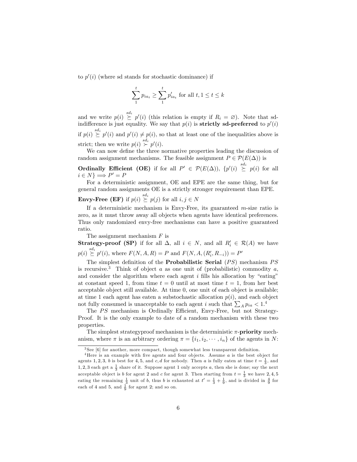to  $p'(i)$  (where sd stands for stochastic dominance) if

$$
\sum_{1}^{t} p_{ia_t} \ge \sum_{1}^{t} p'_{ia_t}
$$
 for all  $t, 1 \le t \le k$ 

and we write  $p(i) \stackrel{sd_i}{\succeq} p'(i)$  (this relation is empty if  $R_i = \varnothing$ ). Note that sdindifference is just equality. We say that  $p(i)$  is **strictly sd-preferred** to  $p'(i)$ if  $p(i) \stackrel{sd_i}{\succeq} p'(i)$  and  $p'(i) \neq p(i)$ , so that at least one of the inequalities above is strict; then we write  $p(i) \stackrel{sd_i}{\succ} p'(i)$ .

We can now define the three normative properties leading the discussion of random assignment mechanisms. The feasible assignment  $P \in \mathcal{P}(E(\Delta))$  is

**Ordinally Efficient (OE)** if for all  $P' \in \mathcal{P}(E(\Delta))$ ,  $\{p'(i) \geq p(i) \text{ for all }$  $i \in N$   $\implies$   $P' = P$ 

For a deterministic assignment, OE and EPE are the same thing, but for general random assignments OE is a strictly stronger requirement than EPE.

**Envy-Free (EF)** if  $p(i) \overset{sd_i}{\succeq} p(j)$  for all  $i, j \in N$ 

If a deterministic mechanism is Envy-Free, its guaranteed  $m$ -size ratio is zero, as it must throw away all objects when agents have identical preferences. Thus only randomized envy-free mechanisms can have a positive guaranteed ratio.

The assignment mechanism  $F$  is

**Strategy-proof (SP)** if for all  $\Delta$ , all  $i \in N$ , and all  $R'_i \in \mathcal{R}(A)$  we have  $p(i) \stackrel{sd_i}{\succeq} p'(i)$ , where  $F(N, A, R) = P$  and  $F(N, A, (R'_i, R_{-i})) = P'$ 

The simplest definition of the **Probabilistic Serial**  $(PS)$  mechanism  $PS$ is recursive.<sup>3</sup> Think of object a as one unit of (probabilistic) commodity a, and consider the algorithm where each agent  $i$  fills his allocation by "eating" at constant speed 1, from time  $t = 0$  until at most time  $t = 1$ , from her best acceptable object still available. At time 0, one unit of each object is available; at time 1 each agent has eaten a substochastic allocation  $p(i)$ , and each object not fully consumed is unacceptable to each agent i such that  $\sum_{A} p_{ia} < 1$ .<sup>4</sup>

The  $PS$  mechanism is Ordinally Efficient, Envy-Free, but not Strategy-Proof. It is the only example to date of a random mechanism with these two properties.

The simplest strategyproof mechanism is the deterministic  $\pi$ -**priority** mechanism, where  $\pi$  is an arbitrary ordering  $\pi = \{i_1, i_2, \dots, i_n\}$  of the agents in N:

 $3$  See [6] for another, more compact, though somewhat less transparent definition.

 $4$ Here is an example with five agents and four objects. Assume  $a$  is the best object for agents 1, 2, 3, b is best for 4, 5, and c, d for nobody. Then a is fully eaten at time  $t = \frac{1}{3}$ , and 1, 2, 3 each get a  $\frac{1}{3}$  share of it. Suppose agent 1 only accepts a, then she is done; say the next acceptable object is b for agent 2 and c for agent 3. Then starting from  $t = \frac{1}{3}$  we have 2,4,5 eating the remaining  $\frac{1}{3}$  unit of b, thus b is exhausted at  $t' = \frac{1}{3} + \frac{1}{9}$ , and is divided in  $\frac{4}{9}$  for each of 4 and 5, and  $\frac{1}{9}$  for agent 2; and so on.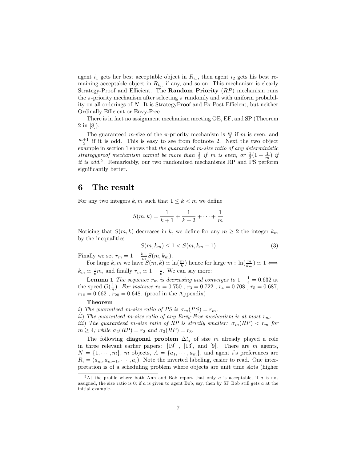agent  $i_1$  gets her best acceptable object in  $R_{i_1}$ , then agent  $i_2$  gets his best remaining acceptable object in  $R_{i_2}$ , if any, and so on. This mechanism is clearly Strategy-Proof and Efficient. The Random Priority  $(RP)$  mechanism runs the  $\pi$ -priority mechanism after selecting  $\pi$  randomly and with uniform probability on all orderings of  $N$ . It is StrategyProof and Ex Post Efficient, but neither Ordinally Efficient or Envy-Free.

There is in fact no assignment mechanism meeting OE, EF, and SP (Theorem 2 in [8]).

The guaranteed *m*-size of the  $\pi$ -priority mechanism is  $\frac{m}{2}$  if *m* is even, and  $\frac{m+1}{2}$  if it is odd. This is easy to see from footnote 2. Next the two object example in section 1 shows that the guaranteed m-size ratio of any deterministic strategyproof mechanism cannot be more than  $\frac{1}{2}$  if m is even, or  $\frac{1}{2}(1+\frac{1}{m})$  if it is odd.<sup>5</sup>. Remarkably, our two randomized mechanisms RP and PS perform significantly better.

### 6 The result

For any two integers k, m such that  $1 \leq k < m$  we define

$$
S(m,k) = \frac{1}{k+1} + \frac{1}{k+2} + \dots + \frac{1}{m}
$$

Noticing that  $S(m, k)$  decreases in k, we define for any  $m \geq 2$  the integer  $k_m$ by the inequalities

$$
S(m, k_m) \le 1 < S(m, k_m - 1) \tag{3}
$$

Finally we set  $r_m = 1 - \frac{k_m}{m} S(m, k_m)$ .

For large k, m we have  $S(m, k) \simeq \ln(\frac{m}{k})$  hence for large  $m : \ln(\frac{m}{k_m}) \simeq 1 \Longleftrightarrow$  $k_m \simeq \frac{1}{e}m$ , and finally  $r_m \simeq 1 - \frac{1}{e}$ . We can say more:

**Lemma 1** The sequence  $r_m$  is decreasing and converges to  $1 - \frac{1}{e} = 0.632$  at the speed  $O(\frac{1}{n})$ . For instance  $r_2 = 0.750$  ,  $r_3 = 0.722$  ,  $r_4 = 0.708$  ,  $r_5 = 0.687$ ,  $r_{10} = 0.662$ ,  $r_{20} = 0.648$ . (proof in the Appendix)

#### Theorem

i) The guaranteed m-size ratio of PS is  $\sigma_m(PS) = r_m$ .

ii) The guaranteed m-size ratio of any Envy-Free mechanism is at most  $r_m$ .

iii) The guaranteed m-size ratio of RP is strictly smaller:  $\sigma_m(RP) < r_m$  for  $m \geq 4$ ; while  $\sigma_2(RP) = r_2$  and  $\sigma_3(RP) = r_3$ .

The following **diagonal problem**  $\Delta_m^*$  of size m already played a role in three relevant earlier papers:  $[19]$ ,  $[13]$ , and  $[9]$ . There are  $m$  agents,  $N = \{1, \dots, m\}, m$  objects,  $A = \{a_1, \dots, a_m\}$ , and agent is preferences are  $R_i = (a_m, a_{m-1}, \dots, a_i)$ . Note the inverted labeling, easier to read. One interpretation is of a scheduling problem where objects are unit time slots (higher

 $5$ At the profile where both Ann and Bob report that only a is acceptable, if a is not assigned, the size ratio is 0; if a is given to agent Bob, say, then by SP Bob still gets a at the initial example.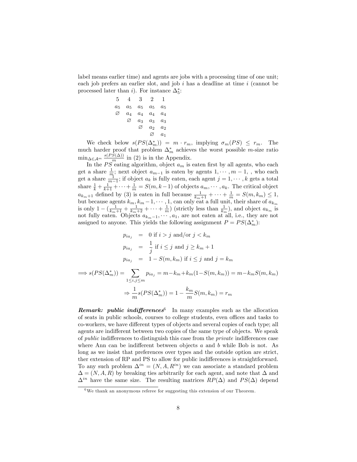label means earlier time) and agents are jobs with a processing time of one unit; each job prefers an earlier slot, and job  $i$  has a deadline at time  $i$  (cannot be processed later than *i*). For instance  $\Delta_5^*$ :

$$
\begin{array}{cccccc}\n5 & 4 & 3 & 2 & 1\\
a_5 & a_5 & a_5 & a_5 & a_5\\
\varnothing & a_4 & a_4 & a_4 & a_4\\
\varnothing & a_3 & a_3 & a_3\\
\varnothing & a_2 & a_2 & a_1\n\end{array}
$$

We check below  $s(PS(\Delta_m^*)) = m \cdot r_m$ , implying  $\sigma_m(PS) \leq r_m$ . The much harder proof that problem  $\Delta_m^*$  achieves the worst possible *m*-size ratio  $\min_{\Delta \in \mathcal{A}^m} \frac{s(PS(\Delta))}{s^m}$  in (2) is in the Appendix.

In the  $PS$  eating algorithm, object  $a_m$  is eaten first by all agents, who each get a share  $\frac{1}{m}$ ; next object  $a_{m-1}$  is eaten by agents  $1, \dots, m-1$ , who each get a share  $\frac{1}{m-1}$ ; if object  $a_k$  is fully eaten, each agent  $j = 1, \dots, k$  gets a total share  $\frac{1}{k} + \frac{1}{k+1} + \cdots + \frac{1}{m} = S(m, k-1)$  of objects  $a_m, \dots, a_k$ . The critical object  $a_{k_m+1}$  defined by (3) is eaten in full because  $\frac{1}{k_m+1} + \cdots + \frac{1}{m} = S(m, k_m) \leq 1$ , but because agents  $k_m$ ,  $k_m - 1, \dots, 1$ , can only eat a full unit, their share of  $a_{k_m}$ is only  $1 - (\frac{1}{k_m+1} + \frac{1}{k_m+2} + \cdots + \frac{1}{m})$  (strictly less than  $\frac{1}{k_m}$ ), and object  $a_{k_m}$  is not fully eaten. Objects  $a_{k_m-1}, \dots, a_1$ , are not eaten at all, i.e., they are not assigned to anyone. This yields the following assignment  $P = PS(\Delta_m^*)$ :

$$
p_{ia_j} = 0 \text{ if } i > j \text{ and/or } j < k_m
$$
  
\n
$$
p_{ia_j} = \frac{1}{j} \text{ if } i \le j \text{ and } j \ge k_m + 1
$$
  
\n
$$
p_{ia_j} = 1 - S(m, k_m) \text{ if } i \le j \text{ and } j = k_m
$$
  
\n
$$
\implies s(PS(\Delta_m^*)) = \sum_{1 \le i, j \le m} p_{ia_j} = m - k_m + k_m(1 - S(m, k_m)) = m - k_m S(m, k_m)
$$
  
\n
$$
\implies \frac{1}{m} s(PS(\Delta_m^*)) = 1 - \frac{k_m}{m} S(m, k_m) = r_m
$$

**Remark:** public indifferences<sup>6</sup> In many examples such as the allocation of seats in public schools, courses to college students, even offices and tasks to co-workers, we have different types of objects and several copies of each type; all agents are indifferent between two copies of the same type of objects. We speak of *public* indifferences to distinguish this case from the *private* indifferences case where Ann can be indifferent between objects  $a$  and  $b$  while Bob is not. As long as we insist that preferences over types and the outside option are strict, ther extension of RP and PS to allow for public indifferences is straightforward. To any such problem  $\Delta^{in} = (N, A, R^{in})$  we can associate a standard problem  $\Delta = (N, A, R)$  by breaking ties arbitrarily for each agent, and note that  $\Delta$  and  $\Delta^{in}$  have the same size. The resulting matrices  $RP(\Delta)$  and  $PS(\Delta)$  depend

 $6$ We thank an anonymous referee for suggesting this extension of our Theorem.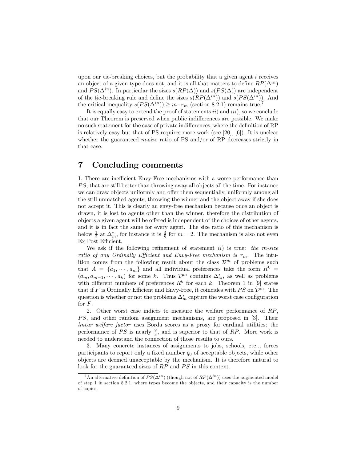upon our tie-breaking choices, but the probability that a given agent  $i$  receives an object of a given type does not, and it is all that matters to define  $RP(\Delta^{in})$ and  $PS(\Delta^{in})$ . In particular the sizes  $s(RP(\Delta))$  and  $s(PS(\Delta))$  are independent of the tie-breaking rule and define the sizes  $s(RP(\Delta^{in}))$  and  $s(PS(\Delta^{in}))$ . And the critical inequality  $s(PS(\Delta^{in})) \geq m \cdot r_m$  (section 8.2.1) remains true.<sup>7</sup>

It is equally easy to extend the proof of statements  $ii)$  and  $iii)$ , so we conclude that our Theorem is preserved when public indifferences are possible. We make no such statement for the case of private indifferences, where the definition of RP is relatively easy but that of PS requires more work (see [20], [6]). It is unclear whether the guaranteed  $m$ -size ratio of PS and/or of RP decreases strictly in that case.

# 7 Concluding comments

1. There are inefficient Envy-Free mechanisms with a worse performance than PS, that are still better than throwing away all objects all the time. For instance we can draw objects uniformly and offer them sequentially, uniformly among all the still unmatched agents, throwing the winner and the object away if she does not accept it. This is clearly an envy-free mechanism because once an object is drawn, it is lost to agents other than the winner, therefore the distribution of objects a given agent will be offered is independent of the choices of other agents, and it is in fact the same for every agent. The size ratio of this mechanism is below  $\frac{1}{2}$  at  $\Delta_m^*$ , for instance it is  $\frac{3}{8}$  for  $m = 2$ . The mechanism is also not even Ex Post Efficient.

We ask if the following refinement of statement ii) is true: the m-size ratio of any Ordinally Efficient and Envy-Free mechanism is  $r_m$ . The intuition comes from the following result about the class  $\mathcal{D}^m$  of problems such that  $A = \{a_1, \dots, a_m\}$  and all individual preferences take the form  $R^k =$  $(a_m, a_{m-1}, \dots, a_k)$  for some k. Thus  $\mathcal{D}^m$  contains  $\Delta_m^*$ , as well as problems with different numbers of preferences  $R^k$  for each k. Theorem 1 in [9] states that if F is Ordinally Efficient and Envy-Free, it coincides with  $PS$  on  $\mathcal{D}^m$ . The question is whether or not the problems  $\Delta_m^*$  capture the worst case configuration for F.

2. Other worst case indices to measure the welfare performance of RP,  $PS$ , and other random assignment mechanisms, are proposed in  $[3]$ . Their linear welfare factor uses Borda scores as a proxy for cardinal utilities; the performance of PS is nearly  $\frac{2}{3}$ , and is superior to that of RP. More work is needed to understand the connection of those results to ours.

3. Many concrete instances of assignments to jobs, schools, etc.., forces participants to report only a fixed number  $q_0$  of acceptable objects, while other objects are deemed unacceptable by the mechanism. It is therefore natural to look for the guaranteed sizes of  $RP$  and  $PS$  in this context.

<sup>&</sup>lt;sup>7</sup>An alternative definition of  $PS(\Delta^{in})$  (though not of  $RP(\Delta^{in})$ ) uses the augmented model of step 1 in section 8.2.1, where types become the ob jects, and their capacity is the number of copies.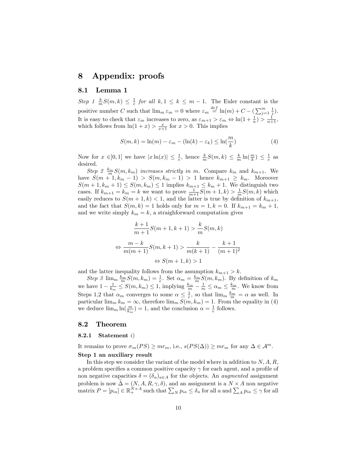# 8 Appendix: proofs

### 8.1 Lemma 1

Step 1  $\frac{k}{m}S(m,k) \leq \frac{1}{e}$  for all  $k, 1 \leq k \leq m-1$ . The Euler constant is the positive number C such that  $\lim_{m \in \mathbb{R}} \varepsilon_m = 0$  where  $\varepsilon_m \stackrel{def}{=} \ln(m) + C - \left(\sum_{j=1}^m \frac{1}{j}\right)$ . It is easy to check that  $\varepsilon_m$  increases to zero, as  $\varepsilon_{m+1} > \varepsilon_m \Leftrightarrow \ln(1 + \frac{1}{n}) > \frac{1}{n+1}$ , which follows from  $\ln(1+x) > \frac{x}{x+1}$  for  $x > 0$ . This implies

$$
S(m,k) = \ln(m) - \varepsilon_m - (\ln(k) - \varepsilon_k) \le \ln(\frac{m}{k})
$$
\n(4)

Now for  $x \in ]0,1]$  we have  $|x \ln(x)| \leq \frac{1}{e}$ , hence  $\frac{k}{m} S(m,k) \leq \frac{k}{m} \ln(\frac{m}{k}) \leq \frac{1}{e}$  as desired.

Step 2  $\frac{k_m}{m}S(m,k_m)$  increases strictly in m. Compare  $k_m$  and  $k_{m+1}$ . We have  $S(m + 1, k_m - 1) > S(m, k_m - 1) > 1$  hence  $k_{m+1} \geq k_m$ . Moreover  $S(m+1, k_m + 1) \le S(m, k_m) \le 1$  implies  $k_{m+1} \le k_m + 1$ . We distinguish two cases. If  $k_{m+1} = k_m = k$  we want to prove  $\frac{1}{m+1}S(m+1,k) > \frac{1}{m}S(m,k)$  which easily reduces to  $S(m+1,k) < 1$ , and the latter is true by definition of  $k_{m+1}$ , and the fact that  $S(m, k) = 1$  holds only for  $m = 1, k = 0$ . If  $k_{m+1} = k_m + 1$ , and we write simply  $k_m = k$ , a straighforward computation gives

$$
\frac{k+1}{m+1}S(m+1,k+1) > \frac{k}{m}S(m,k)
$$
\n
$$
\Leftrightarrow \frac{m-k}{m(m+1)}S(m,k+1) > \frac{k}{m(k+1)} - \frac{k+1}{(m+1)^2}
$$
\n
$$
\Leftrightarrow S(m+1,k) > 1
$$

and the latter inequality follows from the assumption  $k_{m+1} > k$ .

Step 3  $\lim_{m} \frac{k_m}{m} S(m, k_m) = \frac{1}{e}$ . Set  $\alpha_m = \frac{k_m}{m} S(m, k_m)$ . By definition of  $k_m$ we have  $1 - \frac{1}{k_m} \leq S(m, k_m) \leq 1$ , implying  $\frac{k_m}{m} - \frac{1}{m} \leq \alpha_m \leq \frac{k_m}{m}$ . We know from Steps 1,2 that  $\alpha_m$  converges to some  $\alpha \leq \frac{1}{e}$ , so that  $\lim_m \frac{k_m}{m} = \alpha$  as well. In particular  $\lim_{m} k_m = \infty$ , therefore  $\lim_{m} S(m, k_m) = 1$ . From the equality in (4) we deduce  $\lim_{m} \ln(\frac{m}{k_m}) = 1$ , and the conclusion  $\alpha = \frac{1}{e}$  follows.

#### 8.2 Theorem

#### 8.2.1 Statement  $i)$

It remains to prove  $\sigma_m(PS) \geq mr_m$ , i.e.,  $s(PS(\Delta)) \geq mr_m$  for any  $\Delta \in \mathcal{A}^m$ .

#### Step 1 an auxiliary result

In this step we consider the variant of the model where in addition to  $N, A, R$ , a problem specifies a common positive capacity  $\gamma$  for each agent, and a profile of non negative capacities  $\delta = (\delta_a)_{a \in A}$  for the objects. An *augmented* assignment problem is now  $\Delta = (N, A, R, \gamma, \delta)$ , and an assignment is a  $N \times A$  non negative matrix  $P = [p_{ia}] \in \mathbb{R}_+^{N \times A}$  such that  $\sum_N p_{ia} \le \delta_a$  for all a and  $\sum_A p_{ia} \le \gamma$  for all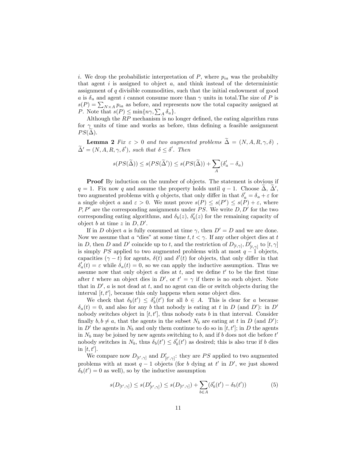i. We drop the probabilistic interpretation of  $P$ , where  $p_{ia}$  was the probabilty that agent  $i$  is assigned to object  $a$ , and think instead of the deterministic assignment of  $q$  divisible commodities, such that the initial endowment of good a is  $\delta_a$  and agent i cannot consume more than  $\gamma$  units in total. The size of P is  $s(P) = \sum_{N \times A} p_{ia}$  as before, and represents now the total capacity assigned at P. Note that  $s(P) \leq \min\{n\gamma, \sum_{A} \delta_{a}\}.$ 

Although the  $RP$  mechanism is no longer defined, the eating algorithm runs for  $\gamma$  units of time and works as before, thus defining a feasible assignment  $PS(\Delta)$ .

**Lemma 2** Fix  $\varepsilon > 0$  and two augmented problems  $\widetilde{\Delta} = (N, A, R, \gamma, \delta)$ ,  $\Delta' = (N, A, R, \gamma, \delta'), \text{ such that } \delta \leq \delta'. \text{ Then}$ 

$$
s(PS(\tilde{\Delta})) \le s(PS(\tilde{\Delta}')) \le s(PS(\tilde{\Delta})) + \sum_{A} (\delta'_a - \delta_a)
$$

**Proof** By induction on the number of objects. The statement is obvious if  $q = 1$ . Fix now q and assume the property holds until  $q - 1$ . Choose  $\Delta$ ,  $\Delta'$ , two augmented problems with q objects, that only differ in that  $\delta_a' = \delta_a + \varepsilon$  for a single object a and  $\varepsilon > 0$ . We must prove  $s(P) \leq s(P') \leq s(P) + \varepsilon$ , where  $P, P'$  are the corresponding assignments under PS. We write  $D, D'$  for the two corresponding eating algorithms, and  $\delta_b(z)$ ,  $\delta'_b(z)$  for the remaining capacity of object b at time z in  $D, D'$ .

If in D object a is fully consumed at time  $\gamma$ , then  $D' = D$  and we are done. Now we assume that a "dies" at some time  $t, t < \gamma$ . If any other object dies at t in D, then D and D' coincide up to t, and the restriction of  $D_{[t,\gamma]}, D'_{[t,\gamma]}$  to  $[t,\gamma]$ is simply PS applied to two augmented problems with at most  $q-1$  objects, capacities  $(\gamma - t)$  for agents,  $\delta(t)$  and  $\delta'(t)$  for objects, that only differ in that  $\delta'_{a}(t) = \varepsilon$  while  $\delta_{a}(t) = 0$ , so we can apply the inductive assumption. Thus we assume now that only object  $a$  dies at  $t$ , and we define  $t'$  to be the first time after t where an object dies in D', or  $t' = \gamma$  if there is no such object. Note that in  $D'$ , a is not dead at t, and no agent can die or switch objects during the interval  $[t, t']$ , because this only happens when some object dies.

We check that  $\delta_b(t') \leq \delta'_b(t')$  for all  $b \in A$ . This is clear for a because  $\delta_a(t) = 0$ , and also for any b that nobody is eating at t in D (and D'): in D' nobody switches object in  $[t, t']$ , thus nobody eats b in that interval. Consider finally  $b, b \neq a$ , that the agents in the subset  $N_b$  are eating at t in D (and D'): in D' the agents in  $N_b$  and only them continue to do so in  $[t, t']$ ; in D the agents in  $N_b$  may be joined by new agents switching to b, and if b does not die before  $t'$ nobody switches in  $N_b$ , thus  $\delta_b(t') \leq \delta'_b(t')$  as desired; this is also true if b dies in  $[t, t']$ .

We compare now  $D_{[t',\gamma]}$  and  $D'_{[t',\gamma]}$ : they are PS applied to two augmented problems with at most  $q-1$  objects (for b dying at t' in D', we just showed  $\delta_b(t') = 0$  as well), so by the inductive assumption

$$
s(D_{[t',\gamma]}) \le s(D'_{[t',\gamma]}) \le s(D_{[t',\gamma]}) + \sum_{b \in A} (\delta'_b(t') - \delta_b(t')) \tag{5}
$$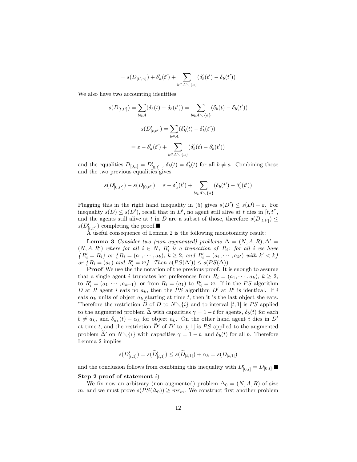$$
=s(D_{[t',\gamma]})+\delta'_a(t')+\sum_{b\in A\diagdown \{a\}}(\delta'_b(t')-\delta_b(t'))
$$

We also have two accounting identities

$$
s(D_{[t,t']}) = \sum_{b \in A} (\delta_b(t) - \delta_b(t')) = \sum_{b \in A \setminus \{a\}} (\delta_b(t) - \delta_b(t'))
$$

$$
s(D'_{[t,t']}) = \sum_{b \in A} (\delta'_b(t) - \delta'_b(t'))
$$

$$
= \varepsilon - \delta'_a(t') + \sum_{b \in A \setminus \{a\}} (\delta'_b(t) - \delta'_b(t'))
$$

and the equalities  $D_{[0,t]} = D'_{[0,t]}$ ,  $\delta_b(t) = \delta'_b(t)$  for all  $b \neq a$ . Combining those and the two previous equalities gives

$$
s(D'_{[0,t']}) - s(D_{[0,t']}) = \varepsilon - \delta'_a(t') + \sum_{b \in A \setminus \{a\}} (\delta_b(t') - \delta'_b(t'))
$$

Plugging this in the right hand inequality in (5) gives  $s(D') \leq s(D) + \varepsilon$ . For inequality  $s(D) \leq s(D')$ , recall that in D', no agent still alive at t dies in [t, t'], and the agents still alive at t in D are a subset of those, therefore  $s(D_{[t,t']}) \le$  $s(D'_{[t,t']})$  completing the proof.

A useful consequence of Lemma 2 is the following monotonicity result:

**Lemma 3** Consider two (non augmented) problems  $\Delta = (N, A, R), \Delta' =$  $(N, A, R')$  where for all  $i \in N$ ,  $R'_i$  is a truncation of  $R_i$ : for all i we have  ${R'_i = R_i}$  or  ${R_i = (a_1, \dots, a_k), k \geq 2, and R'_i = (a_1, \dots, a_{k'}) \text{ with } k' < k}$ or  $\{R_i = (a_1) \text{ and } R'_i = \emptyset\}$ . Then  $s(PS(\Delta')) \leq s(PS(\Delta))$ .

**Proof** We use the the notation of the previous proof. It is enough to assume that a single agent i truncates her preferences from  $R_i = (a_1, \dots, a_k)$ ,  $k \geq 2$ , to  $R'_i = (a_1, \dots, a_{k-1})$ , or from  $R_i = (a_1)$  to  $R'_i = \emptyset$ . If in the PS algorithm D at R agent i eats no  $a_k$ , then the PS algorithm D' at R' is identical. If i eats  $\alpha_k$  units of object  $a_k$  starting at time t, then it is the last object she eats. Therefore the restriction D of D to  $N\setminus\{i\}$  and to interval [t, 1] is PS applied to the augmented problem  $\tilde{\Delta}$  with capacities  $\gamma = 1 - t$  for agents,  $\delta_b(t)$  for each  $b \neq a_k$ , and  $\delta_{a_k}(t) - \alpha_k$  for object  $a_k$ . On the other hand agent i dies in D' at time  $t$ , and the restriction  $D'$  of  $D'$  to  $[t, 1]$  is PS applied to the augmented problem  $\Delta'$  on  $N\setminus\{i\}$  with capacities  $\gamma = 1 - t$ , and  $\delta_b(t)$  for all b. Therefore Lemma 2 implies

$$
s(D'_{[t,1]}) = s(\widetilde{D}'_{[t,1]}) \leq s(\widetilde{D}_{[t,1]}) + \alpha_k = s(D_{[t,1]})
$$

and the conclusion follows from combining this inequality with  $D'_{[0,t]} = D_{[0,t]}$ . Step 2 proof of statement  $i$ )

We fix now an arbitrary (non augmented) problem  $\Delta_0 = (N, A, R)$  of size m, and we must prove  $s(PS(\Delta_0)) \geq mr_m$ . We construct first another problem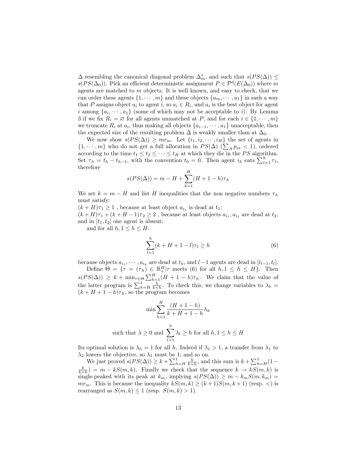$\Delta$  resembling the canonical diagonal problem  $\Delta_m^*$ , and such that  $s(PS(\Delta)) \le$  $s(PS(\Delta_0))$ . Pick an efficient deterministic assignment  $P \in \mathcal{P}^d(E(\Delta_0))$  where m agents are matched to  $m$  objects. It is well known, and easy to check, that we can order these agents  $\{1, \dots, m\}$  and these objects  $\{a_m, \dots, a_1\}$  in such a way that P assigns object  $a_i$  to agent i, so  $a_i \in R_i$ , and  $a_i$  is the best object for agent  $i \text{ among } \{a_i, \dots, a_1\}$  (some of which may not be acceptable to i). By Lemma 3 if we fix  $R_i = \emptyset$  for all agents unmatched at P, and for each  $i \in \{1, \dots, m\}$ we truncate  $R_i$  at  $a_i$ , thus making all objects  $\{a_{i-1}, \dots, a_1\}$  unacceptable, then the expected size of the resulting problem  $\Delta$  is weakly smaller than at  $\Delta_0$ .

We now show  $s(PS(\Delta)) \geq mr_m$ . Let  $\{i_1, i_2, \dots, i_H\}$  the set of agents in  $\{1, \dots, m\}$  who do not get a full allocation in  $PS(\Delta)$  ( $\sum_{A} p_{ia} < 1$ ), ordered according to the time  $t_1 \leq t_2 \leq \cdots \leq t_H$  at which they die in the PS algorithm. Set  $\tau_h = t_h - t_{h-1}$ , with the convention  $t_0 = 0$ . Then agent  $i_h$  eats  $\sum_{l=1}^h \tau_l$ , therefore

$$
s(PS(\Delta)) = m - H + \sum_{h=1}^{H} (H + 1 - h)\tau_h
$$

We set  $k = m - H$  and list H inequalities that the non negative numbers  $\tau_h$ must satisfy:

 $(k+H)\tau_1 \geq 1$ , because at least object  $a_{i_1}$  is dead at  $t_1$ ;  $(k+H)\tau_1 + (k+H-1)\tau_2 \geq 2$ , because at least objects  $a_{i_1}, a_{i_2}$  are dead at  $t_2$ ,

and in  $[t_1, t_2]$  one agent is absent; and for all  $h, 1 \leq h \leq H$ :

$$
\sum_{l=1}^{h} (k + H + 1 - l)\tau_l \ge h
$$
 (6)

because objects  $a_{i_1}, \dots, a_{i_h}$  are dead at  $t_h$ , and  $l-1$  agents are dead in  $[t_{l-1}, t_l]$ .

Define  $\Theta = \{ \tau = (\tau_h) \in \mathbb{R}_+^H | \tau \text{ meets } (6) \text{ for all } h, 1 \leq h \leq H \}.$  Then  $s(PS(\Delta)) \geq k + \min_{\tau \in \Theta} \sum_{h=1}^H (H + 1 - h)\tau_h$ . We claim that the value of the latter program is  $\sum_{h=H}^{1} \frac{h}{k+h}$ . To check this, we change variables to  $\lambda_h =$  $(k + H + 1 - h)\tau_h$ , so the program becomes

$$
\min \sum_{h=1}^{H} \frac{(H+1-h)}{k+H+1-h} \lambda_h
$$
\nsuch that  $\lambda \geq 0$  and  $\sum_{l=1}^{h} \lambda_l \geq h$  for all  $h, 1 \leq h \leq H$ 

Its optimal solution is  $\lambda_h = 1$  for all h. Indeed if  $\lambda_1 > 1$ , a transfer from  $\lambda_1$  to  $\lambda_2$  lowers the objective, so  $\lambda_1$  must be 1; and so on.

We just proved  $s(PS(\Delta)) \geq k + \sum_{h=H}^{1} \frac{h}{k+h}$ , and this sum is  $k + \sum_{h=H}^{1} (1 (\frac{k}{k+h}) = m - kS(m, k)$ . Finally we check that the sequence  $k \to kS(m, k)$  is single-peaked with its peak at  $k_m$ , implying  $s(PS(\Delta)) \geq m - k_mS(m, k_m)$  $mr_m$ . This is because the inequality  $kS(m, k) \ge (k+1)S(m, k+1)$  (resp. <) is rearranged as  $S(m, k) \leq 1$  (resp.  $S(m, k) > 1$ ).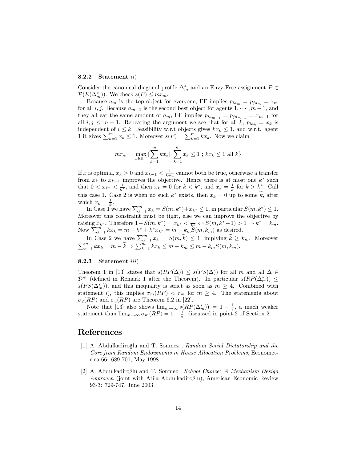#### 8.2.2 Statement ii)

Consider the canonical diagonal profile  $\Delta_m^*$  and an Envy-Free assignment  $P \in$  $\mathcal{P}(E(\Delta_m^*))$ . We check  $s(P) \leq m r_m$ .

Because  $a_m$  is the top object for everyone, EF implies  $p_{ia_m} = p_{ja_m} = x_m$ for all i, j. Because  $a_{m-1}$  is the second best object for agents  $1, \dots, m-1$ , and they all eat the same amount of  $a_m$ , EF implies  $p_{ia_{m-1}} = p_{ja_{m-1}} = x_{m-1}$  for all  $i, j \leq m - 1$ . Repeating the argument we see that for all k,  $p_{ia_k} = x_k$  is independent of  $i \leq k$ . Feasibility w.r.t objects gives  $kx_k \leq 1$ , and w.r.t. agent 1 it gives  $\sum_{k=1}^{m} x_k \leq 1$ . Moreover  $s(P) = \sum_{k=1}^{m} kx_k$ . Now we claim

$$
mr_m = \max_{x \in \mathbb{R}_+^m} \{ \sum_{k=1}^m kx_k | \sum_{k=1}^m x_k \le 1 \; ; \; kx_k \le 1 \; \text{all} \; k \}
$$

If x is optimal,  $x_k > 0$  and  $x_{k+1} < \frac{1}{k+1}$  cannot both be true, otherwise a transfer from  $x_k$  to  $x_{k+1}$  improves the objective. Hence there is at most one  $k^*$  such that  $0 < x_{k^*} < \frac{1}{k^*}$ , and then  $x_k = 0$  for  $k < k^*$ , and  $x_k = \frac{1}{k}$  for  $k > k^*$ . Call this case 1. Case 2 is when no such  $k^*$  exists, then  $x_k = 0$  up to some k, after which  $x_k = \frac{1}{k}$ .

In Case 1 we have  $\sum_{k=1}^{m} x_k = S(m, k^*) + x_{k^*} \leq 1$ , in particular  $S(m, k^*) \leq 1$ . Moreover this constraint must be tight, else we can improve the objective by raising  $x_{k^*}$ . Therefore  $1-S(m, k^*)=x_{k^*}<\frac{1}{k^*}\Leftrightarrow S(m, k^*-1) > 1 \Rightarrow k^*=k_m$ . Now  $\sum_{k=1}^{m} kx_k = m - k^* + k^*x_{k^*} = m - k_m S(m, k_m)$  as desired.

In Case 2 we have  $\sum_{k=1}^{m} x_k = S(m, \widetilde{k}) \leq 1$ , implying  $\widetilde{k} \geq k_m$ . Moreover  $\sum_{k=1}^{m} kx_k = m - \widetilde{k} \Rightarrow \sum_{k=1}^{m} kx_k \le m - k_m \le m - k_m S(m, k_m).$ 

#### 8.2.3 Statement iii)

Theorem 1 in [13] states that  $s(RP(\Delta)) \leq s(PS(\Delta))$  for all m and all  $\Delta \in$  $\mathcal{D}^m$  (defined in Remark 1 after the Theorem). In particular  $s(RP(\Delta_m^*)) \le$  $s(PS(\Delta_m^*))$ , and this inequality is strict as soon as  $m \geq 4$ . Combined with statement i), this implies  $\sigma_m(RP) < r_m$  for  $m \geq 4$ . The statements about  $\sigma_2(RP)$  and  $\sigma_3(RP)$  are Theorem 6.2 in [22].

Note that [13] also shows  $\lim_{m\to\infty} s(RP(\Delta_m^*)) = 1 - \frac{1}{e}$ , a much weaker statement than  $\lim_{m\to\infty} \sigma_m(RP) = 1 - \frac{1}{e}$ , discussed in point 2 of Section 2.

### References

- [1] A. Abdulkadiroğlu and T. Sonmez, Random Serial Dictatorship and the Core from Random Endowments in House Allocation Problems, Econometrica 66: 689-701, May 1998
- [2] A. Abdulkadiroğlu and T. Sonmez, School Choice: A Mechanism Design Approach (joint with Atila Abdulkadiroğlu), American Economic Review 93-3: 729-747, June 2003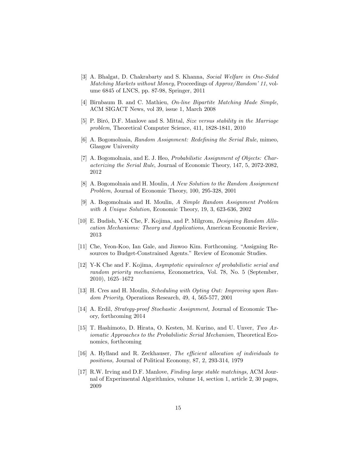- [3] A. Bhalgat, D. Chakrabarty and S. Khanna, Social Welfare in One-Sided Matching Markets without Money, Proceedings of  $Approx/Random'$  11, volume 6845 of LNCS, pp. 87-98, Springer, 2011
- [4] Birnbaum B. and C. Mathieu, On-line Bipartite Matching Made Simple, ACM SIGACT News, vol 39, issue 1, March 2008
- [5] P. Biró, D.F. Manlove and S. Mittal, Size versus stability in the Marriage problem, Theoretical Computer Science, 411, 1828-1841, 2010
- [6] A. Bogomolnaia, Random Assignment: Redefining the Serial Rule, mimeo, Glasgow University
- [7] A. Bogomolnaia, and E. J. Heo, Probabilistic Assignment of Objects: Characterizing the Serial Rule, Journal of Economic Theory, 147, 5, 2072-2082, 2012
- [8] A. Bogomolnaia and H. Moulin, A New Solution to the Random Assignment Problem, Journal of Economic Theory, 100, 295-328, 2001
- [9] A. Bogomolnaia and H. Moulin, A Simple Random Assignment Problem with A Unique Solution, Economic Theory, 19, 3, 623-636, 2002
- [10] E. Budish, Y-K Che, F. Kojima, and P. Milgrom, Designing Random Allocation Mechanisms: Theory and Applications, American Economic Review, 2013
- [11] Che, Yeon-Koo, Ian Gale, and Jinwoo Kim. Forthcoming. "Assigning Resources to Budget-Constrained Agents." Review of Economic Studies.
- [12] Y-K Che and F. Kojima, Asymptotic equivalence of probabilistic serial and random priority mechanisms, Econometrica, Vol. 78, No. 5 (September, 2010), 1625-1672
- [13] H. Cres and H. Moulin, Scheduling with Opting Out: Improving upon Random Priority, Operations Research, 49, 4, 565-577, 2001
- [14] A. Erdil, Strategy-proof Stochastic Assignment, Journal of Economic Theory, forthcoming 2014
- [15] T. Hashimoto, D. Hirata, O. Kesten, M. Kurino, and U. Unver, Two Axiomatic Approaches to the Probabilistic Serial Mechanism, Theoretical Economics, forthcoming
- [16] A. Hylland and R. Zeckhauser, The efficient allocation of individuals to positions, Journal of Political Economy, 87, 2, 293-314, 1979
- [17] R.W. Irving and D.F. Manlove, Finding large stable matchings, ACM Journal of Experimental Algorithmics, volume 14, section 1, article 2, 30 pages, 2009